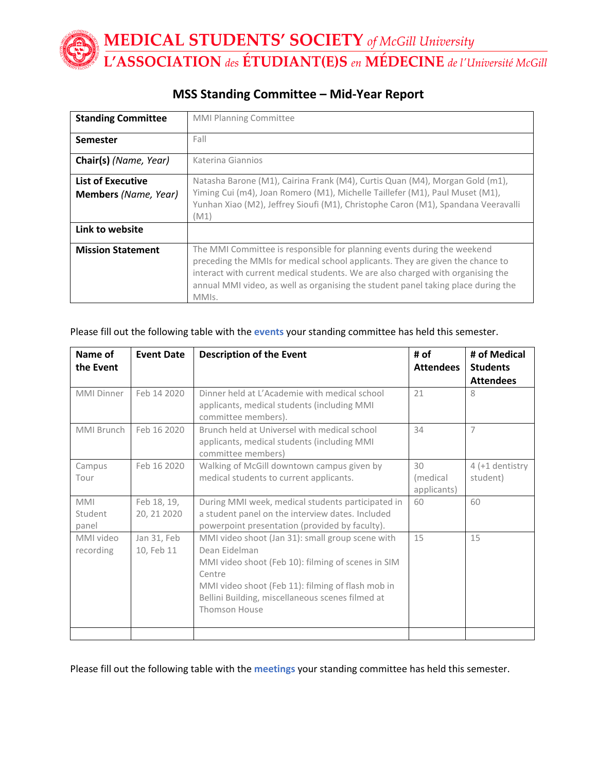| <b>Standing Committee</b>                               | <b>MMI Planning Committee</b>                                                                                                                                                                                                                                                                                                              |  |
|---------------------------------------------------------|--------------------------------------------------------------------------------------------------------------------------------------------------------------------------------------------------------------------------------------------------------------------------------------------------------------------------------------------|--|
| <b>Semester</b>                                         | Fall                                                                                                                                                                                                                                                                                                                                       |  |
| Chair(s) (Name, Year)                                   | Katerina Giannios                                                                                                                                                                                                                                                                                                                          |  |
| <b>List of Executive</b><br><b>Members</b> (Name, Year) | Natasha Barone (M1), Cairina Frank (M4), Curtis Quan (M4), Morgan Gold (m1),<br>Yiming Cui (m4), Joan Romero (M1), Michelle Taillefer (M1), Paul Muset (M1),<br>Yunhan Xiao (M2), Jeffrey Sioufi (M1), Christophe Caron (M1), Spandana Veeravalli<br>(M1)                                                                                  |  |
| Link to website                                         |                                                                                                                                                                                                                                                                                                                                            |  |
| <b>Mission Statement</b>                                | The MMI Committee is responsible for planning events during the weekend<br>preceding the MMIs for medical school applicants. They are given the chance to<br>interact with current medical students. We are also charged with organising the<br>annual MMI video, as well as organising the student panel taking place during the<br>MMIs. |  |

## **MSS Standing Committee – Mid-Year Report**

### Please fill out the following table with the **events** your standing committee has held this semester.

| Name of<br>the Event           | <b>Event Date</b>          | <b>Description of the Event</b>                                                                                                                                                                                                                                    | # of<br><b>Attendees</b>      | # of Medical<br><b>Students</b><br><b>Attendees</b> |
|--------------------------------|----------------------------|--------------------------------------------------------------------------------------------------------------------------------------------------------------------------------------------------------------------------------------------------------------------|-------------------------------|-----------------------------------------------------|
| <b>MMI Dinner</b>              | Feb 14 2020                | Dinner held at I'Academie with medical school<br>applicants, medical students (including MMI<br>committee members).                                                                                                                                                | 21                            | 8                                                   |
| MMI Brunch                     | Feb 16 2020                | Brunch held at Universel with medical school<br>applicants, medical students (including MMI<br>committee members)                                                                                                                                                  | 34                            | $\overline{7}$                                      |
| Campus<br>Tour                 | Feb 16 2020                | Walking of McGill downtown campus given by<br>medical students to current applicants.                                                                                                                                                                              | 30<br>(medical<br>applicants) | $4$ (+1 dentistry<br>student)                       |
| <b>MMI</b><br>Student<br>panel | Feb 18, 19,<br>20, 21 2020 | During MMI week, medical students participated in<br>a student panel on the interview dates. Included<br>powerpoint presentation (provided by faculty).                                                                                                            | 60                            | 60                                                  |
| MMI video<br>recording         | Jan 31, Feb<br>10, Feb 11  | MMI video shoot (Jan 31): small group scene with<br>Dean Fidelman<br>MMI video shoot (Feb 10): filming of scenes in SIM<br>Centre<br>MMI video shoot (Feb 11): filming of flash mob in<br>Bellini Building, miscellaneous scenes filmed at<br><b>Thomson House</b> | 15                            | 15                                                  |
|                                |                            |                                                                                                                                                                                                                                                                    |                               |                                                     |

Please fill out the following table with the **meetings** your standing committee has held this semester.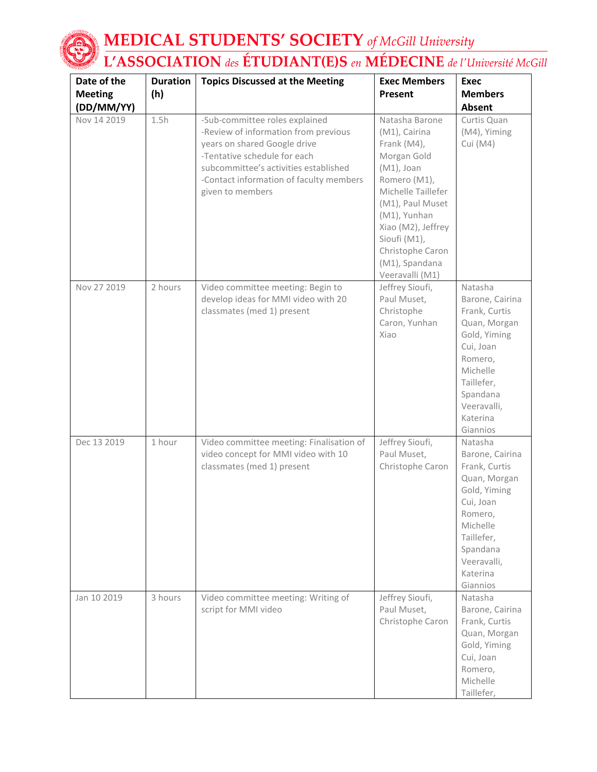

| Date of the    | <b>Duration</b> | <b>Topics Discussed at the Meeting</b>                                                                                                                                                                                                         | <b>Exec Members</b>                                                                                                                                                                                                                                     | <b>Exec</b>                                                                                                                                                                      |
|----------------|-----------------|------------------------------------------------------------------------------------------------------------------------------------------------------------------------------------------------------------------------------------------------|---------------------------------------------------------------------------------------------------------------------------------------------------------------------------------------------------------------------------------------------------------|----------------------------------------------------------------------------------------------------------------------------------------------------------------------------------|
| <b>Meeting</b> | (h)             |                                                                                                                                                                                                                                                | Present                                                                                                                                                                                                                                                 | <b>Members</b>                                                                                                                                                                   |
| (DD/MM/YY)     |                 |                                                                                                                                                                                                                                                |                                                                                                                                                                                                                                                         | Absent                                                                                                                                                                           |
| Nov 14 2019    | 1.5h            | -Sub-committee roles explained<br>-Review of information from previous<br>years on shared Google drive<br>-Tentative schedule for each<br>subcommittee's activities established<br>-Contact information of faculty members<br>given to members | Natasha Barone<br>(M1), Cairina<br>Frank (M4),<br>Morgan Gold<br>$(M1)$ , Joan<br>Romero (M1),<br>Michelle Taillefer<br>(M1), Paul Muset<br>(M1), Yunhan<br>Xiao (M2), Jeffrey<br>Sioufi (M1),<br>Christophe Caron<br>(M1), Spandana<br>Veeravalli (M1) | Curtis Quan<br>(M4), Yiming<br>Cui (M4)                                                                                                                                          |
| Nov 27 2019    | 2 hours         | Video committee meeting: Begin to<br>develop ideas for MMI video with 20<br>classmates (med 1) present                                                                                                                                         | Jeffrey Sioufi,<br>Paul Muset,<br>Christophe<br>Caron, Yunhan<br>Xiao                                                                                                                                                                                   | Natasha<br>Barone, Cairina<br>Frank, Curtis<br>Quan, Morgan<br>Gold, Yiming<br>Cui, Joan<br>Romero,<br>Michelle<br>Taillefer,<br>Spandana<br>Veeravalli,<br>Katerina<br>Giannios |
| Dec 13 2019    | 1 hour          | Video committee meeting: Finalisation of<br>video concept for MMI video with 10<br>classmates (med 1) present                                                                                                                                  | Jeffrey Sioufi,<br>Paul Muset,<br>Christophe Caron                                                                                                                                                                                                      | Natasha<br>Barone, Cairina<br>Frank, Curtis<br>Quan, Morgan<br>Gold, Yiming<br>Cui, Joan<br>Romero,<br>Michelle<br>Taillefer,<br>Spandana<br>Veeravalli,<br>Katerina<br>Giannios |
| Jan 10 2019    | 3 hours         | Video committee meeting: Writing of<br>script for MMI video                                                                                                                                                                                    | Jeffrey Sioufi,<br>Paul Muset,<br>Christophe Caron                                                                                                                                                                                                      | Natasha<br>Barone, Cairina<br>Frank, Curtis<br>Quan, Morgan<br>Gold, Yiming<br>Cui, Joan<br>Romero,<br>Michelle<br>Taillefer.                                                    |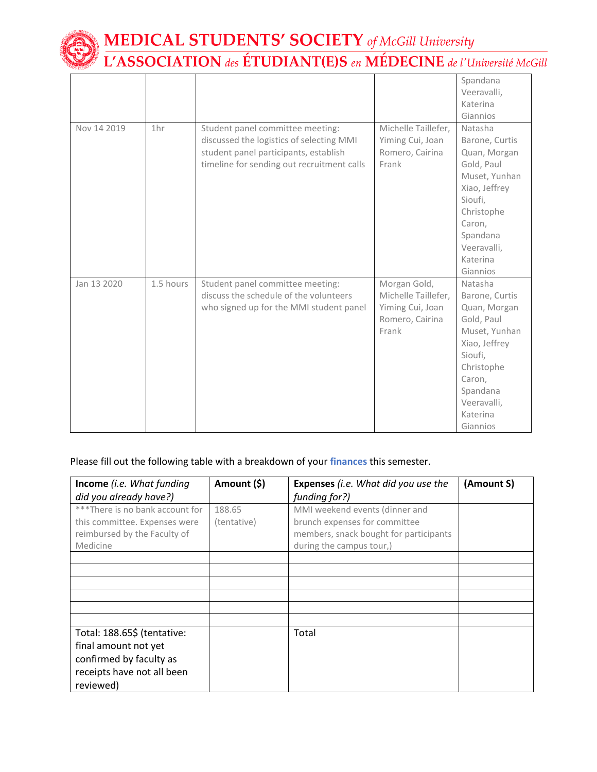

|             |                 |                                            |                     | Spandana       |
|-------------|-----------------|--------------------------------------------|---------------------|----------------|
|             |                 |                                            |                     | Veeravalli,    |
|             |                 |                                            |                     | Katerina       |
|             |                 |                                            |                     | Giannios       |
| Nov 14 2019 | 1 <sub>hr</sub> | Student panel committee meeting:           | Michelle Taillefer, | Natasha        |
|             |                 | discussed the logistics of selecting MMI   | Yiming Cui, Joan    | Barone, Curtis |
|             |                 | student panel participants, establish      | Romero, Cairina     | Quan, Morgan   |
|             |                 | timeline for sending out recruitment calls | Frank               | Gold, Paul     |
|             |                 |                                            |                     | Muset, Yunhan  |
|             |                 |                                            |                     | Xiao, Jeffrey  |
|             |                 |                                            |                     | Sioufi,        |
|             |                 |                                            |                     | Christophe     |
|             |                 |                                            |                     | Caron,         |
|             |                 |                                            |                     | Spandana       |
|             |                 |                                            |                     | Veeravalli.    |
|             |                 |                                            |                     | Katerina       |
|             |                 |                                            |                     | Giannios       |
| Jan 13 2020 | 1.5 hours       | Student panel committee meeting:           | Morgan Gold,        | Natasha        |
|             |                 | discuss the schedule of the volunteers     | Michelle Taillefer, | Barone, Curtis |
|             |                 | who signed up for the MMI student panel    | Yiming Cui, Joan    | Quan, Morgan   |
|             |                 |                                            | Romero, Cairina     | Gold, Paul     |
|             |                 |                                            | Frank               | Muset, Yunhan  |
|             |                 |                                            |                     | Xiao, Jeffrey  |
|             |                 |                                            |                     | Sioufi,        |
|             |                 |                                            |                     | Christophe     |
|             |                 |                                            |                     | Caron,         |
|             |                 |                                            |                     | Spandana       |
|             |                 |                                            |                     | Veeravalli,    |
|             |                 |                                            |                     | Katerina       |
|             |                 |                                            |                     | Giannios       |

## Please fill out the following table with a breakdown of your **finances** this semester.

| Income (i.e. What funding<br>did you already have?)                                                                       | Amount (\$)           | <b>Expenses</b> (i.e. What did you use the<br>funding for?)                                                                           | (Amount S) |
|---------------------------------------------------------------------------------------------------------------------------|-----------------------|---------------------------------------------------------------------------------------------------------------------------------------|------------|
| ***There is no bank account for<br>this committee. Expenses were<br>reimbursed by the Faculty of<br>Medicine              | 188.65<br>(tentative) | MMI weekend events (dinner and<br>brunch expenses for committee<br>members, snack bought for participants<br>during the campus tour,) |            |
|                                                                                                                           |                       |                                                                                                                                       |            |
|                                                                                                                           |                       |                                                                                                                                       |            |
| Total: 188.65\$ (tentative:<br>final amount not yet<br>confirmed by faculty as<br>receipts have not all been<br>reviewed) |                       | Total                                                                                                                                 |            |